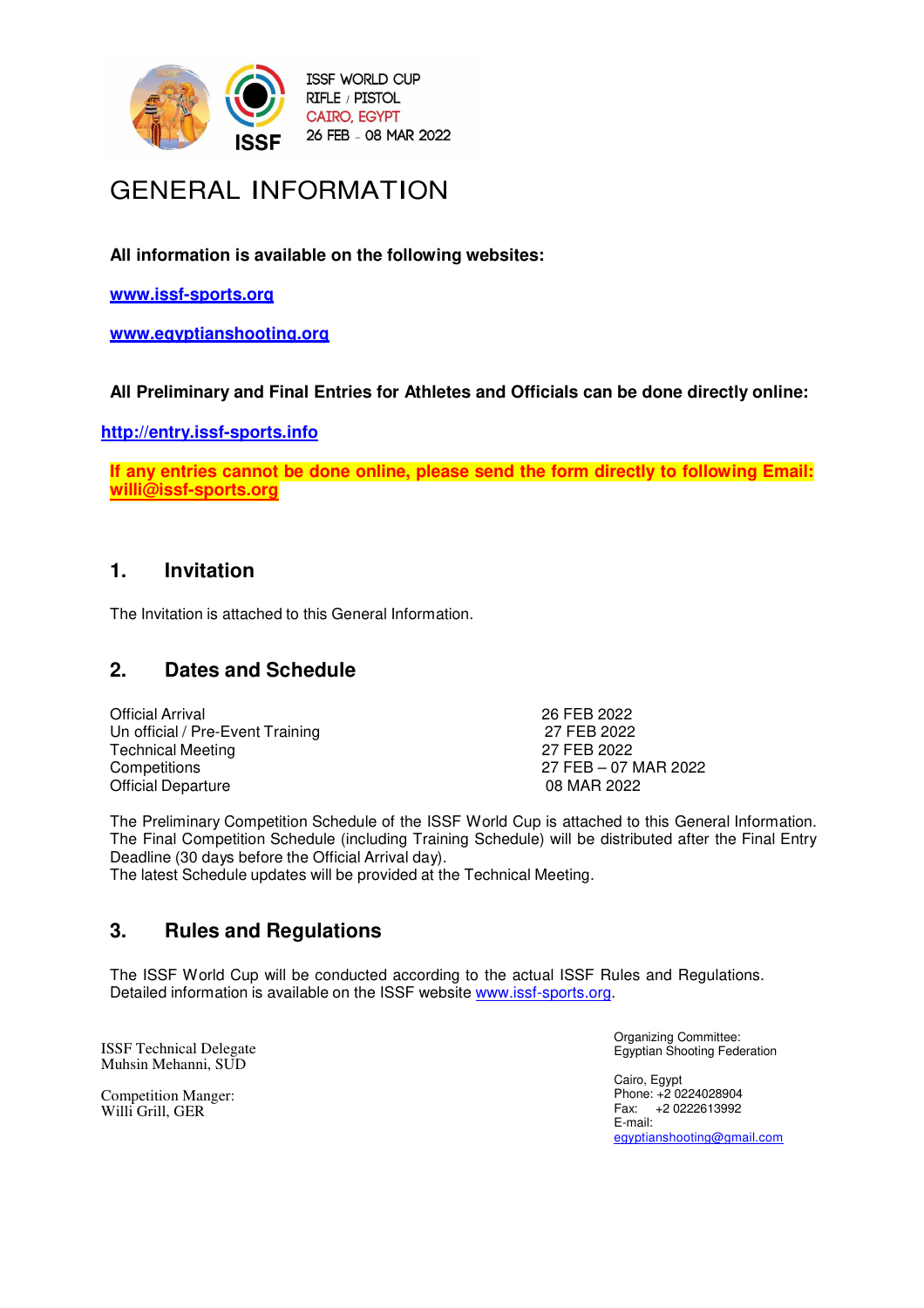

# GENERAL INFORMATION

**All information is available on the following websites:**

**www.issf-sports.org**

**www.egyptianshooting.org**

# **All Preliminary and Final Entries for Athletes and Officials can be done directly online:**

**http://entry.issf-sports.info**

**If any entries cannot be done online, please send the form directly to following Email: willi@issf-sports.org** 

# **1. Invitation**

The Invitation is attached to this General Information.

# **2. Dates and Schedule**

Official Arrival 26 FEB 2022 Un official / Pre-Event Training 27 FEB 2022 Technical Meeting 27 FEB 2022 Competitions 27 FEB – 07 MAR 2022 **Official Departure** 

The Preliminary Competition Schedule of the ISSF World Cup is attached to this General Information. The Final Competition Schedule (including Training Schedule) will be distributed after the Final Entry Deadline (30 days before the Official Arrival day).

The latest Schedule updates will be provided at the Technical Meeting.

# **3. Rules and Regulations**

The ISSF World Cup will be conducted according to the actual ISSF Rules and Regulations. Detailed information is available on the ISSF website www.issf-sports.org.

ISSF Technical Delegate Muhsin Mehanni, SUD

Competition Manger: Willi Grill, GER

Organizing Committee: Egyptian Shooting Federation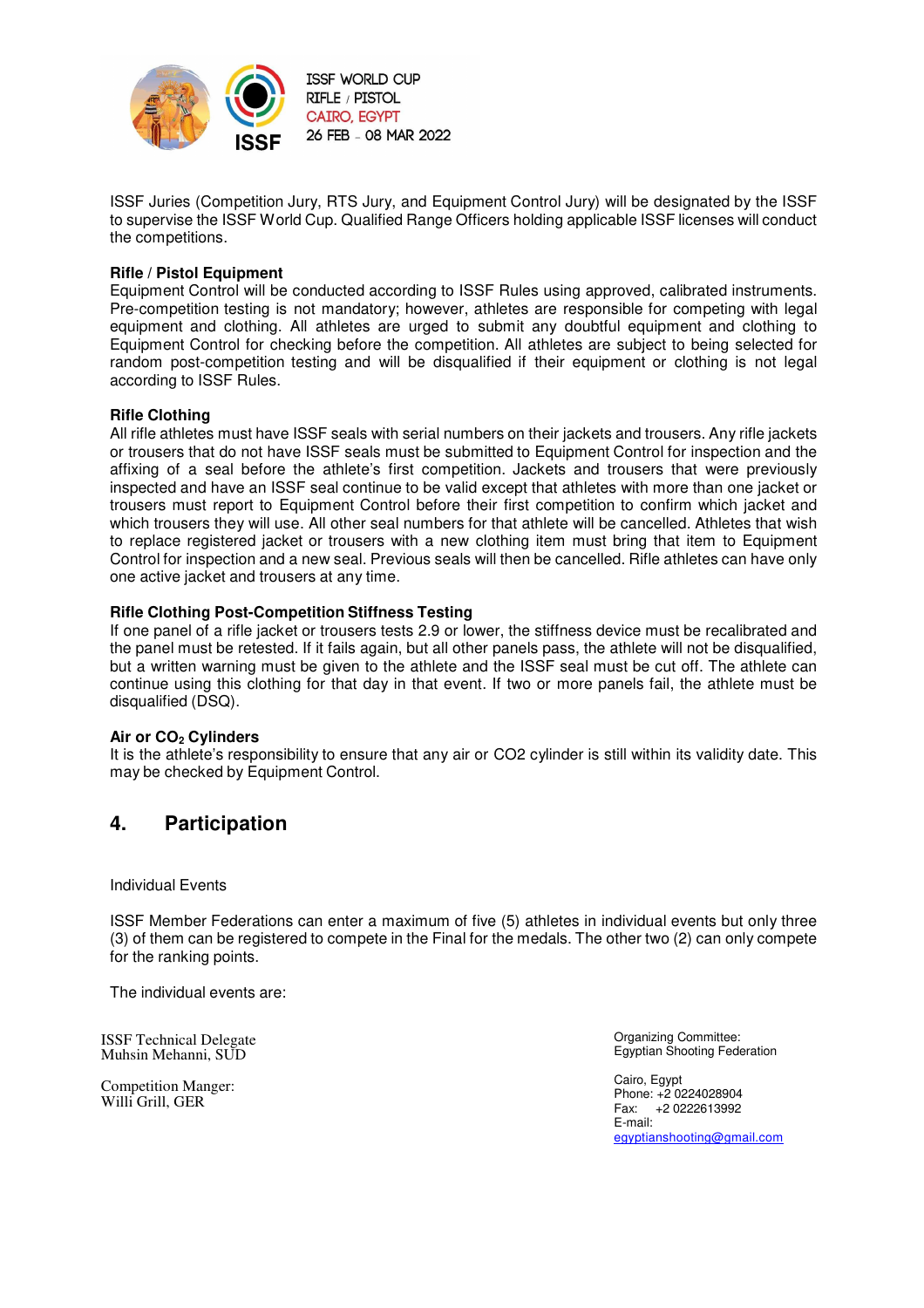

ISSF Juries (Competition Jury, RTS Jury, and Equipment Control Jury) will be designated by the ISSF to supervise the ISSF World Cup. Qualified Range Officers holding applicable ISSF licenses will conduct the competitions.

#### **Rifle / Pistol Equipment**

Equipment Control will be conducted according to ISSF Rules using approved, calibrated instruments. Pre-competition testing is not mandatory; however, athletes are responsible for competing with legal equipment and clothing. All athletes are urged to submit any doubtful equipment and clothing to Equipment Control for checking before the competition. All athletes are subject to being selected for random post-competition testing and will be disqualified if their equipment or clothing is not legal according to ISSF Rules.

#### **Rifle Clothing**

All rifle athletes must have ISSF seals with serial numbers on their jackets and trousers. Any rifle jackets or trousers that do not have ISSF seals must be submitted to Equipment Control for inspection and the affixing of a seal before the athlete's first competition. Jackets and trousers that were previously inspected and have an ISSF seal continue to be valid except that athletes with more than one jacket or trousers must report to Equipment Control before their first competition to confirm which jacket and which trousers they will use. All other seal numbers for that athlete will be cancelled. Athletes that wish to replace registered jacket or trousers with a new clothing item must bring that item to Equipment Control for inspection and a new seal. Previous seals will then be cancelled. Rifle athletes can have only one active jacket and trousers at any time.

#### **Rifle Clothing Post-Competition Stiffness Testing**

If one panel of a rifle jacket or trousers tests 2.9 or lower, the stiffness device must be recalibrated and the panel must be retested. If it fails again, but all other panels pass, the athlete will not be disqualified, but a written warning must be given to the athlete and the ISSF seal must be cut off. The athlete can continue using this clothing for that day in that event. If two or more panels fail, the athlete must be disqualified (DSQ).

#### **Air or CO2 Cylinders**

It is the athlete's responsibility to ensure that any air or CO2 cylinder is still within its validity date. This may be checked by Equipment Control.

# **4. Participation**

Individual Events

ISSF Member Federations can enter a maximum of five (5) athletes in individual events but only three (3) of them can be registered to compete in the Final for the medals. The other two (2) can only compete for the ranking points.

The individual events are:

ISSF Technical Delegate Muhsin Mehanni, SUD

Competition Manger: Willi Grill, GER

Organizing Committee: Egyptian Shooting Federation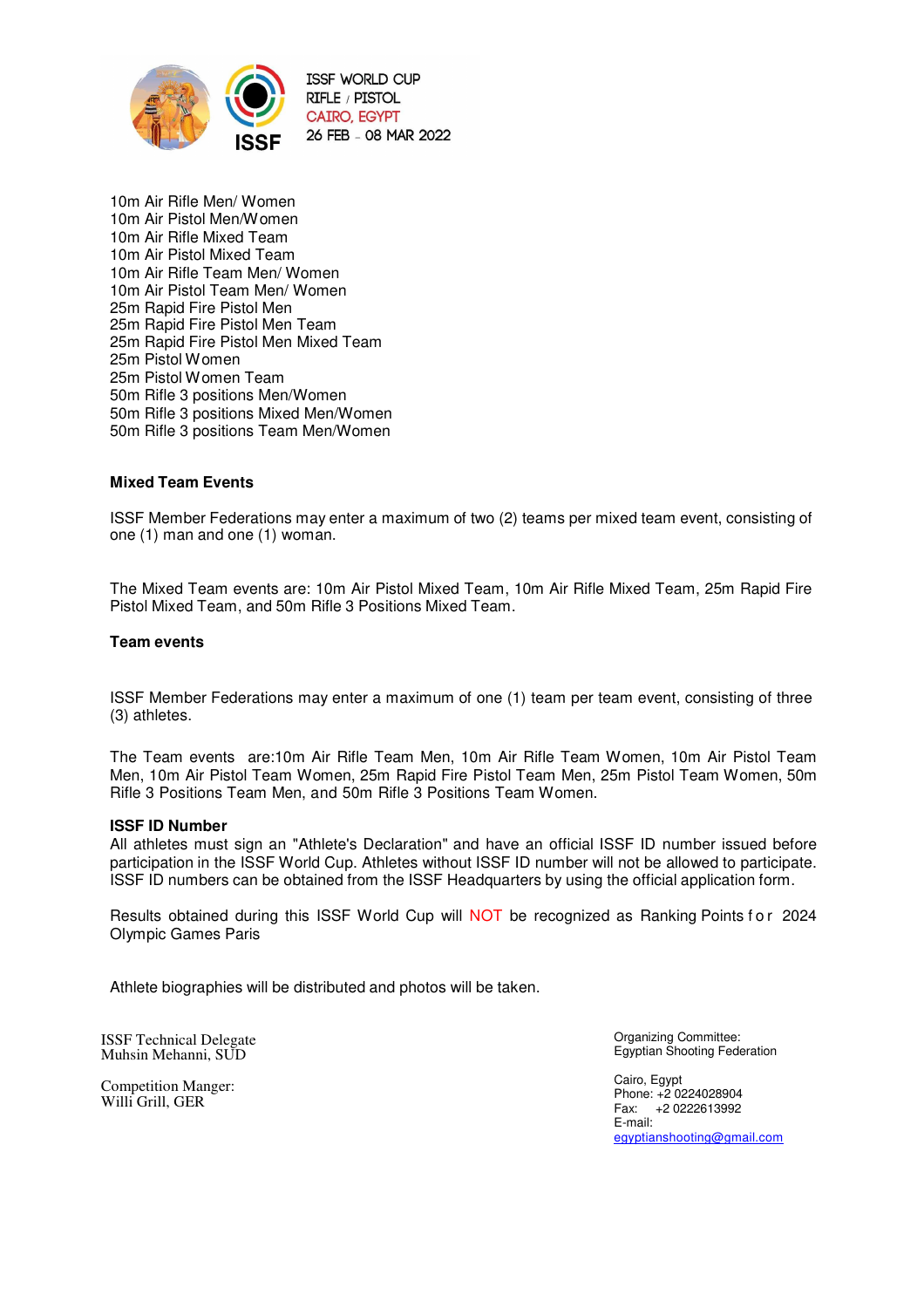

10m Air Rifle Men/ Women 10m Air Pistol Men/Women 10m Air Rifle Mixed Team 10m Air Pistol Mixed Team 10m Air Rifle Team Men/ Women 10m Air Pistol Team Men/ Women 25m Rapid Fire Pistol Men 25m Rapid Fire Pistol Men Team 25m Rapid Fire Pistol Men Mixed Team 25m Pistol Women 25m Pistol Women Team 50m Rifle 3 positions Men/Women 50m Rifle 3 positions Mixed Men/Women 50m Rifle 3 positions Team Men/Women

#### **Mixed Team Events**

ISSF Member Federations may enter a maximum of two (2) teams per mixed team event, consisting of one (1) man and one (1) woman.

The Mixed Team events are: 10m Air Pistol Mixed Team, 10m Air Rifle Mixed Team, 25m Rapid Fire Pistol Mixed Team, and 50m Rifle 3 Positions Mixed Team.

#### **Team events**

ISSF Member Federations may enter a maximum of one (1) team per team event, consisting of three (3) athletes.

The Team events are:10m Air Rifle Team Men, 10m Air Rifle Team Women, 10m Air Pistol Team Men, 10m Air Pistol Team Women, 25m Rapid Fire Pistol Team Men, 25m Pistol Team Women, 50m Rifle 3 Positions Team Men, and 50m Rifle 3 Positions Team Women.

#### **ISSF ID Number**

All athletes must sign an "Athlete's Declaration" and have an official ISSF ID number issued before participation in the ISSF World Cup. Athletes without ISSF ID number will not be allowed to participate. ISSF ID numbers can be obtained from the ISSF Headquarters by using the official application form.

Results obtained during this ISSF World Cup will NOT be recognized as Ranking Points for 2024 Olympic Games Paris

Athlete biographies will be distributed and photos will be taken.

ISSF Technical Delegate Muhsin Mehanni, SUD

Competition Manger: Willi Grill, GER

Organizing Committee: Egyptian Shooting Federation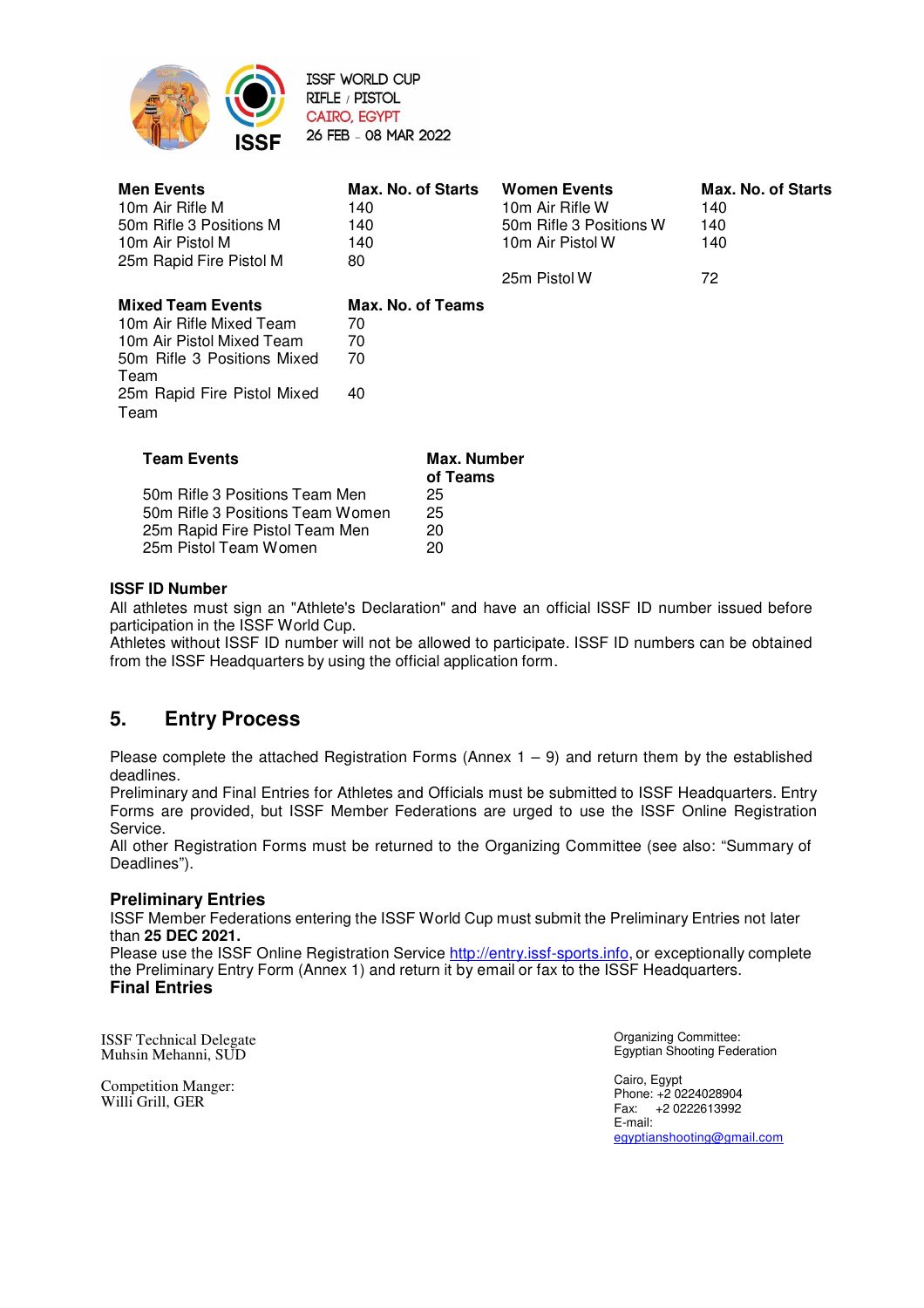

**ISSF WORLD CUP** RIFLE / PISTOL **CAIRO, EGYPT** 26 FEB - 08 MAR 2022

| <b>Men Events</b><br>10m Air Rifle M<br>50m Rifle 3 Positions M<br>10m Air Pistol M<br>25m Rapid Fire Pistol M                                                  | Max. No. of Starts<br>140<br>140<br>140<br>80 |                                           | <b>Women Events</b><br>10m Air Rifle W<br>50m Rifle 3 Positions W<br>10m Air Pistol W<br>25m Pistol W | Max. No. of Starts<br>140<br>140<br>140<br>72 |
|-----------------------------------------------------------------------------------------------------------------------------------------------------------------|-----------------------------------------------|-------------------------------------------|-------------------------------------------------------------------------------------------------------|-----------------------------------------------|
| <b>Mixed Team Events</b><br>10m Air Rifle Mixed Team<br>10m Air Pistol Mixed Team<br>50m Rifle 3 Positions Mixed<br>Team<br>25m Rapid Fire Pistol Mixed<br>Team | Max. No. of Teams<br>70<br>70<br>70<br>40     |                                           |                                                                                                       |                                               |
| <b>Team Events</b><br>50m Rifle 3 Positions Team Men<br>50m Rifle 3 Positions Team Women<br>25m Rapid Fire Pistol Team Men                                      |                                               | Max. Number<br>of Teams<br>25<br>25<br>20 |                                                                                                       |                                               |

### **ISSF ID Number**

All athletes must sign an "Athlete's Declaration" and have an official ISSF ID number issued before participation in the ISSF World Cup.

Athletes without ISSF ID number will not be allowed to participate. ISSF ID numbers can be obtained from the ISSF Headquarters by using the official application form.

# **5. Entry Process**

25m Pistol Team Women 20

Please complete the attached Registration Forms (Annex  $1 - 9$ ) and return them by the established deadlines.

Preliminary and Final Entries for Athletes and Officials must be submitted to ISSF Headquarters. Entry Forms are provided, but ISSF Member Federations are urged to use the ISSF Online Registration Service.

All other Registration Forms must be returned to the Organizing Committee (see also: "Summary of Deadlines").

### **Preliminary Entries**

ISSF Member Federations entering the ISSF World Cup must submit the Preliminary Entries not later than **25 DEC 2021.**

Please use the ISSF Online Registration Service http://entry.issf-sports.info, or exceptionally complete the Preliminary Entry Form (Annex 1) and return it by email or fax to the ISSF Headquarters. **Final Entries**

ISSF Technical Delegate Muhsin Mehanni, SUD

Competition Manger: Willi Grill, GER

Organizing Committee: Egyptian Shooting Federation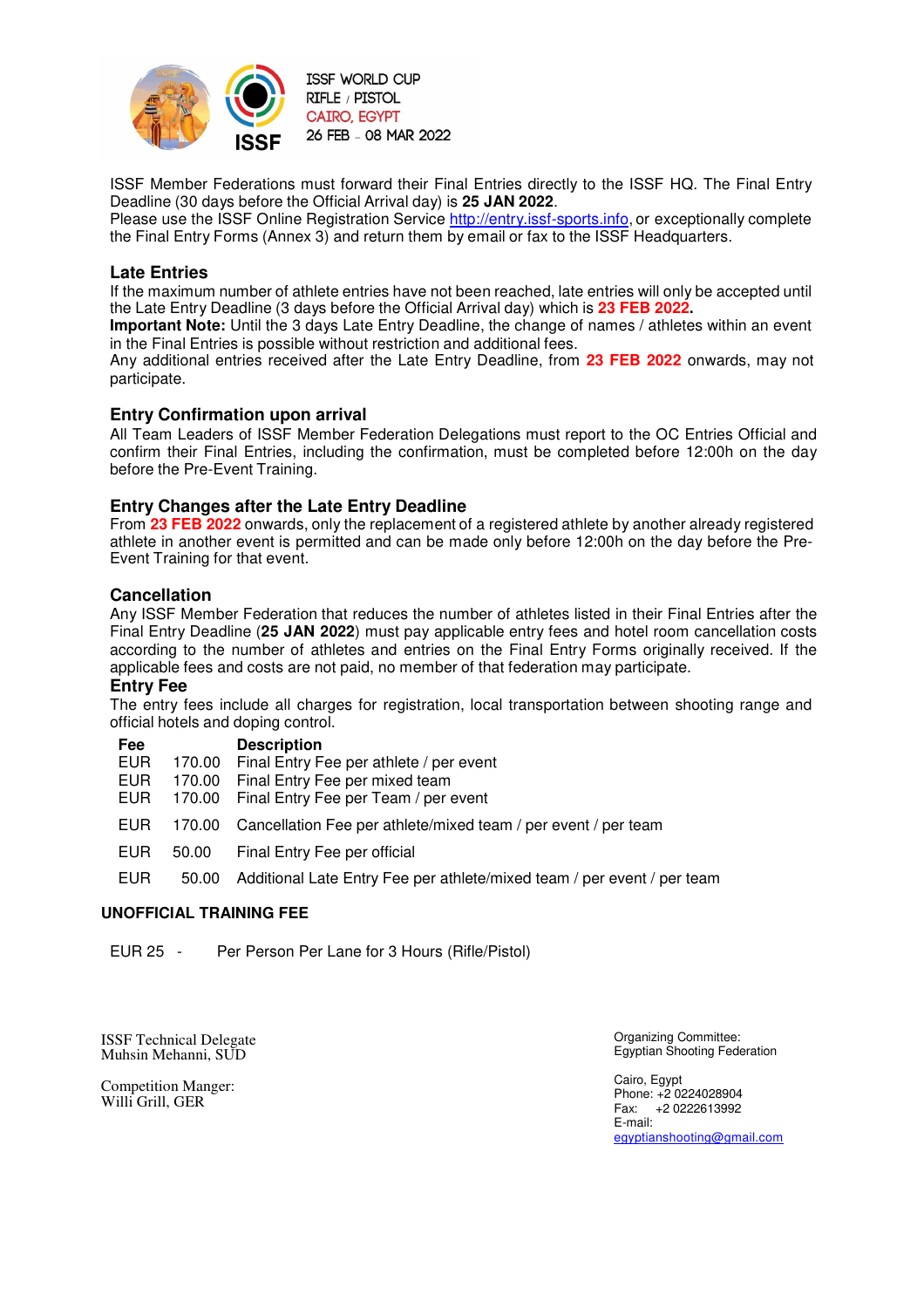

ISSF Member Federations must forward their Final Entries directly to the ISSF HQ. The Final Entry Deadline (30 days before the Official Arrival day) is **25 JAN 2022**.

Please use the ISSF Online Registration Service http://entry.issf-sports.info, or exceptionally complete the Final Entry Forms (Annex 3) and return them by email or fax to the ISSF Headquarters.

#### **Late Entries**

If the maximum number of athlete entries have not been reached, late entries will only be accepted until the Late Entry Deadline (3 days before the Official Arrival day) which is **23 FEB 2022.**

**Important Note:** Until the 3 days Late Entry Deadline, the change of names / athletes within an event in the Final Entries is possible without restriction and additional fees.

Any additional entries received after the Late Entry Deadline, from **23 FEB 2022** onwards, may not participate.

#### **Entry Confirmation upon arrival**

All Team Leaders of ISSF Member Federation Delegations must report to the OC Entries Official and confirm their Final Entries, including the confirmation, must be completed before 12:00h on the day before the Pre-Event Training.

#### **Entry Changes after the Late Entry Deadline**

From **23 FEB 2022** onwards, only the replacement of a registered athlete by another already registered athlete in another event is permitted and can be made only before 12:00h on the day before the Pre-Event Training for that event.

#### **Cancellation**

Any ISSF Member Federation that reduces the number of athletes listed in their Final Entries after the Final Entry Deadline (**25 JAN 2022**) must pay applicable entry fees and hotel room cancellation costs according to the number of athletes and entries on the Final Entry Forms originally received. If the applicable fees and costs are not paid, no member of that federation may participate.

#### **Entry Fee**

The entry fees include all charges for registration, local transportation between shooting range and official hotels and doping control.

| Fee        |        | <b>Description</b>                                                      |
|------------|--------|-------------------------------------------------------------------------|
| <b>EUR</b> | 170.00 | Final Entry Fee per athlete / per event                                 |
| <b>EUR</b> | 170.00 | Final Entry Fee per mixed team                                          |
| <b>EUR</b> | 170.00 | Final Entry Fee per Team / per event                                    |
| EUR        | 170.00 | Cancellation Fee per athlete/mixed team / per event / per team          |
| <b>EUR</b> | 50.00  | Final Entry Fee per official                                            |
| <b>EUR</b> | 50.00  | Additional Late Entry Fee per athlete/mixed team / per event / per team |

#### **UNOFFICIAL TRAINING FEE**

EUR 25 - Per Person Per Lane for 3 Hours (Rifle/Pistol)

ISSF Technical Delegate Muhsin Mehanni, SUD

Competition Manger: Willi Grill, GER

Organizing Committee: Egyptian Shooting Federation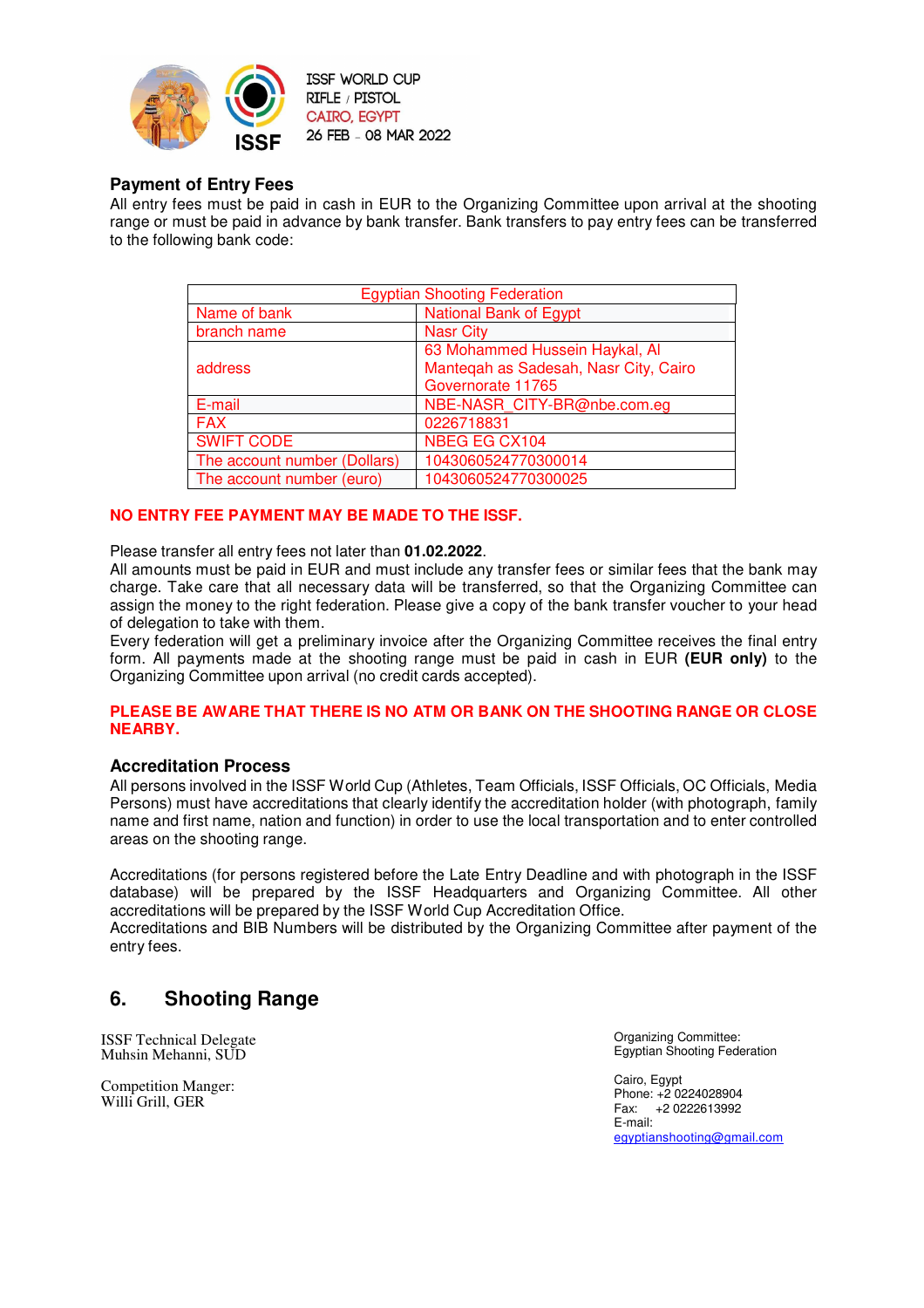

# **Payment of Entry Fees**

All entry fees must be paid in cash in EUR to the Organizing Committee upon arrival at the shooting range or must be paid in advance by bank transfer. Bank transfers to pay entry fees can be transferred to the following bank code:

| <b>Egyptian Shooting Federation</b> |                                       |  |
|-------------------------------------|---------------------------------------|--|
| Name of bank                        | <b>National Bank of Egypt</b>         |  |
| branch name                         | <b>Nasr City</b>                      |  |
|                                     | 63 Mohammed Hussein Haykal, Al        |  |
| address                             | Mantegah as Sadesah, Nasr City, Cairo |  |
|                                     | Governorate 11765                     |  |
| E-mail                              | NBE-NASR CITY-BR@nbe.com.eg           |  |
| <b>FAX</b>                          | 0226718831                            |  |
| <b>SWIFT CODE</b>                   | NBEG EG CX104                         |  |
| The account number (Dollars)        | 1043060524770300014                   |  |
| The account number (euro)           | 1043060524770300025                   |  |

### **NO ENTRY FEE PAYMENT MAY BE MADE TO THE ISSF.**

Please transfer all entry fees not later than **01.02.2022**.

All amounts must be paid in EUR and must include any transfer fees or similar fees that the bank may charge. Take care that all necessary data will be transferred, so that the Organizing Committee can assign the money to the right federation. Please give a copy of the bank transfer voucher to your head of delegation to take with them.

Every federation will get a preliminary invoice after the Organizing Committee receives the final entry form. All payments made at the shooting range must be paid in cash in EUR **(EUR only)** to the Organizing Committee upon arrival (no credit cards accepted).

#### **PLEASE BE AWARE THAT THERE IS NO ATM OR BANK ON THE SHOOTING RANGE OR CLOSE NEARBY.**

### **Accreditation Process**

All persons involved in the ISSF World Cup (Athletes, Team Officials, ISSF Officials, OC Officials, Media Persons) must have accreditations that clearly identify the accreditation holder (with photograph, family name and first name, nation and function) in order to use the local transportation and to enter controlled areas on the shooting range.

Accreditations (for persons registered before the Late Entry Deadline and with photograph in the ISSF database) will be prepared by the ISSF Headquarters and Organizing Committee. All other accreditations will be prepared by the ISSF World Cup Accreditation Office.

Accreditations and BIB Numbers will be distributed by the Organizing Committee after payment of the entry fees.

# **6. Shooting Range**

ISSF Technical Delegate Muhsin Mehanni, SUD

Competition Manger: Willi Grill, GER

Organizing Committee: Egyptian Shooting Federation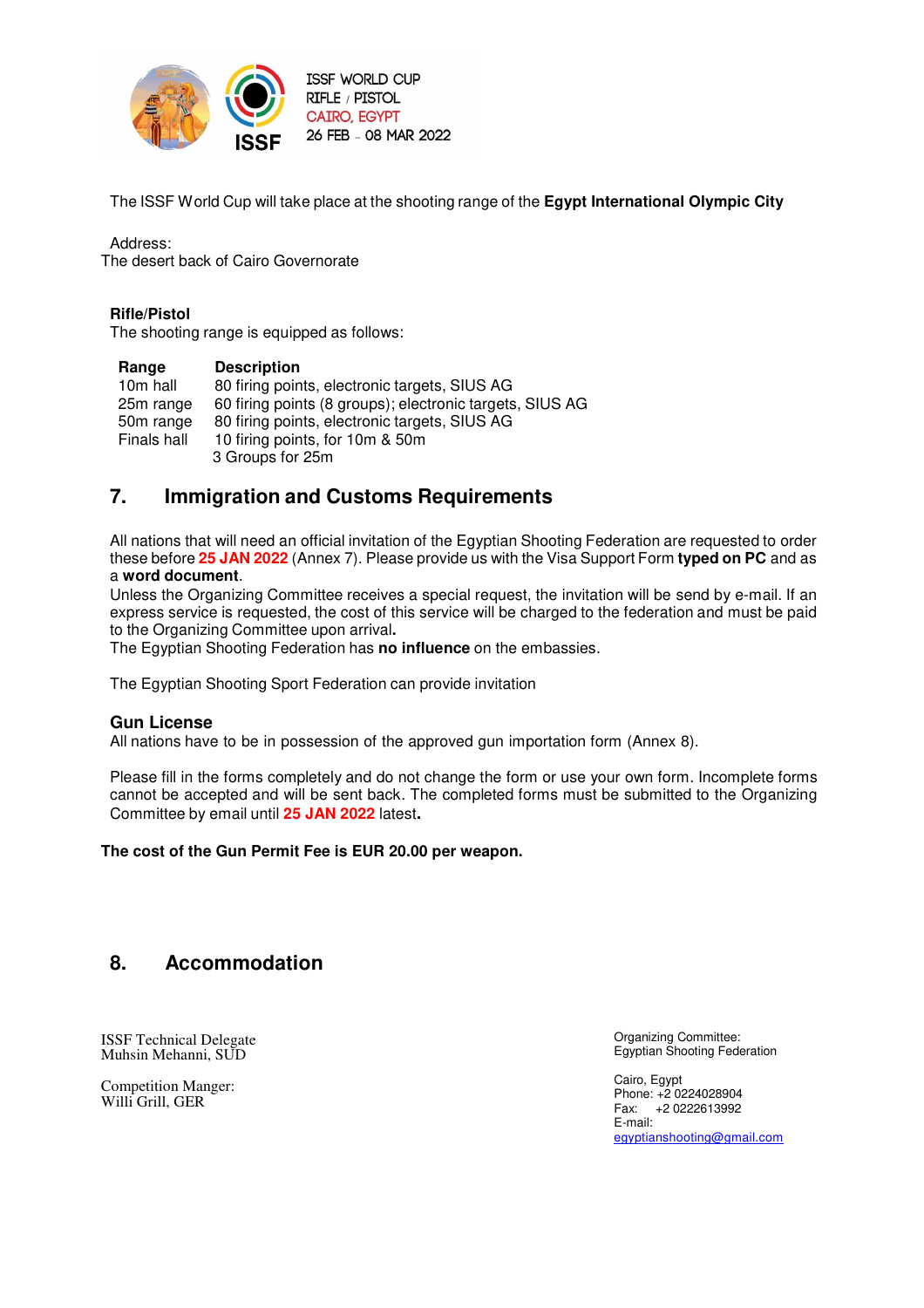

The ISSF World Cup will take place at the shooting range of the **Egypt International Olympic City**

Address: The desert back of Cairo Governorate

### **Rifle/Pistol**

The shooting range is equipped as follows:

| Range       | <b>Description</b>                                       |
|-------------|----------------------------------------------------------|
| 10m hall    | 80 firing points, electronic targets, SIUS AG            |
| 25m range   | 60 firing points (8 groups); electronic targets, SIUS AG |
| 50m range   | 80 firing points, electronic targets, SIUS AG            |
| Finals hall | 10 firing points, for 10m & 50m                          |
|             | 3 Groups for 25m                                         |

# **7. Immigration and Customs Requirements**

All nations that will need an official invitation of the Egyptian Shooting Federation are requested to order these before **25 JAN 2022** (Annex 7). Please provide us with the Visa Support Form **typed on PC** and as a **word document**.

Unless the Organizing Committee receives a special request, the invitation will be send by e-mail. If an express service is requested, the cost of this service will be charged to the federation and must be paid to the Organizing Committee upon arrival**.**

The Egyptian Shooting Federation has **no influence** on the embassies.

The Egyptian Shooting Sport Federation can provide invitation

### **Gun License**

All nations have to be in possession of the approved gun importation form (Annex 8).

Please fill in the forms completely and do not change the form or use your own form. Incomplete forms cannot be accepted and will be sent back. The completed forms must be submitted to the Organizing Committee by email until **25 JAN 2022** latest**.** 

### **The cost of the Gun Permit Fee is EUR 20.00 per weapon.**

# **8. Accommodation**

ISSF Technical Delegate Muhsin Mehanni, SUD

Competition Manger: Willi Grill, GER

Organizing Committee: Egyptian Shooting Federation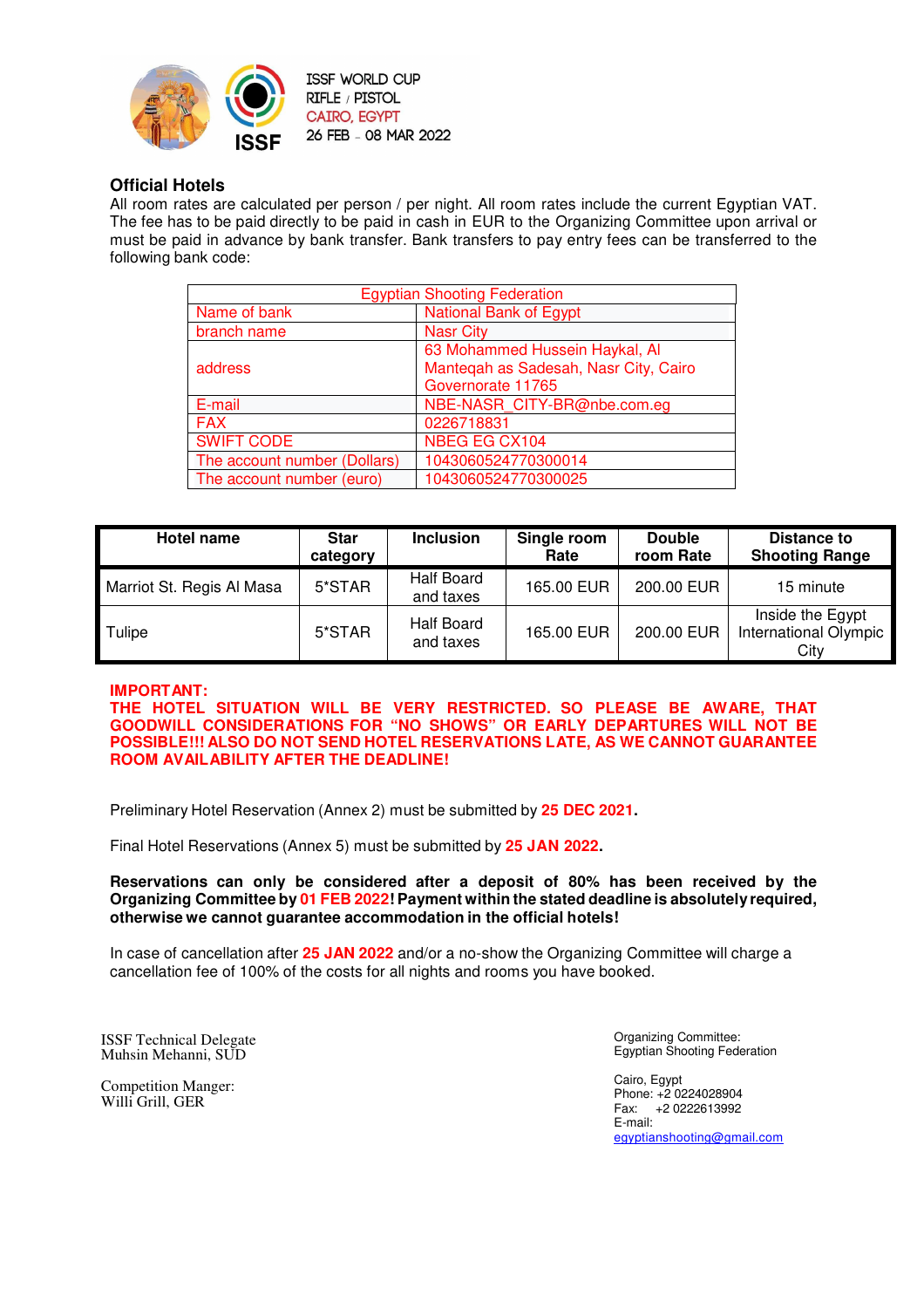

# **Official Hotels**

All room rates are calculated per person / per night. All room rates include the current Egyptian VAT. The fee has to be paid directly to be paid in cash in EUR to the Organizing Committee upon arrival or must be paid in advance by bank transfer. Bank transfers to pay entry fees can be transferred to the following bank code:

| <b>Egyptian Shooting Federation</b> |                                       |  |
|-------------------------------------|---------------------------------------|--|
| Name of bank                        | <b>National Bank of Egypt</b>         |  |
| branch name                         | <b>Nasr City</b>                      |  |
|                                     | 63 Mohammed Hussein Haykal, Al        |  |
| address                             | Mantegah as Sadesah, Nasr City, Cairo |  |
|                                     | Governorate 11765                     |  |
| E-mail                              | NBE-NASR CITY-BR@nbe.com.eq           |  |
| <b>FAX</b>                          | 0226718831                            |  |
| <b>SWIFT CODE</b>                   | NBEG EG CX104                         |  |
| The account number (Dollars)        | 1043060524770300014                   |  |
| The account number (euro)           | 1043060524770300025                   |  |

| Hotel name                | <b>Star</b><br>category | <b>Inclusion</b>        | Single room<br>Rate | <b>Double</b><br>room Rate | Distance to<br><b>Shooting Range</b>              |
|---------------------------|-------------------------|-------------------------|---------------------|----------------------------|---------------------------------------------------|
| Marriot St. Regis Al Masa | 5*STAR                  | Half Board<br>and taxes | 165.00 EUR          | 200.00 EUR                 | 15 minute                                         |
| Tulipe                    | 5*STAR                  | Half Board<br>and taxes | 165.00 EUR          | 200.00 EUR                 | Inside the Egypt<br>International Olympic<br>City |

### **IMPORTANT:**

**THE HOTEL SITUATION WILL BE VERY RESTRICTED. SO PLEASE BE AWARE, THAT GOODWILL CONSIDERATIONS FOR "NO SHOWS" OR EARLY DEPARTURES WILL NOT BE POSSIBLE!!! ALSO DO NOT SEND HOTEL RESERVATIONS LATE, AS WE CANNOT GUARANTEE ROOM AVAILABILITY AFTER THE DEADLINE!**

Preliminary Hotel Reservation (Annex 2) must be submitted by **25 DEC 2021.**

Final Hotel Reservations (Annex 5) must be submitted by **25 JAN 2022.**

**Reservations can only be considered after a deposit of 80% has been received by the Organizing Committee by 01 FEB 2022! Payment within the stated deadline is absolutely required, otherwise we cannot guarantee accommodation in the official hotels!**

In case of cancellation after **25 JAN 2022** and/or a no-show the Organizing Committee will charge a cancellation fee of 100% of the costs for all nights and rooms you have booked.

ISSF Technical Delegate Muhsin Mehanni, SUD

Competition Manger: Willi Grill, GER

Organizing Committee: Egyptian Shooting Federation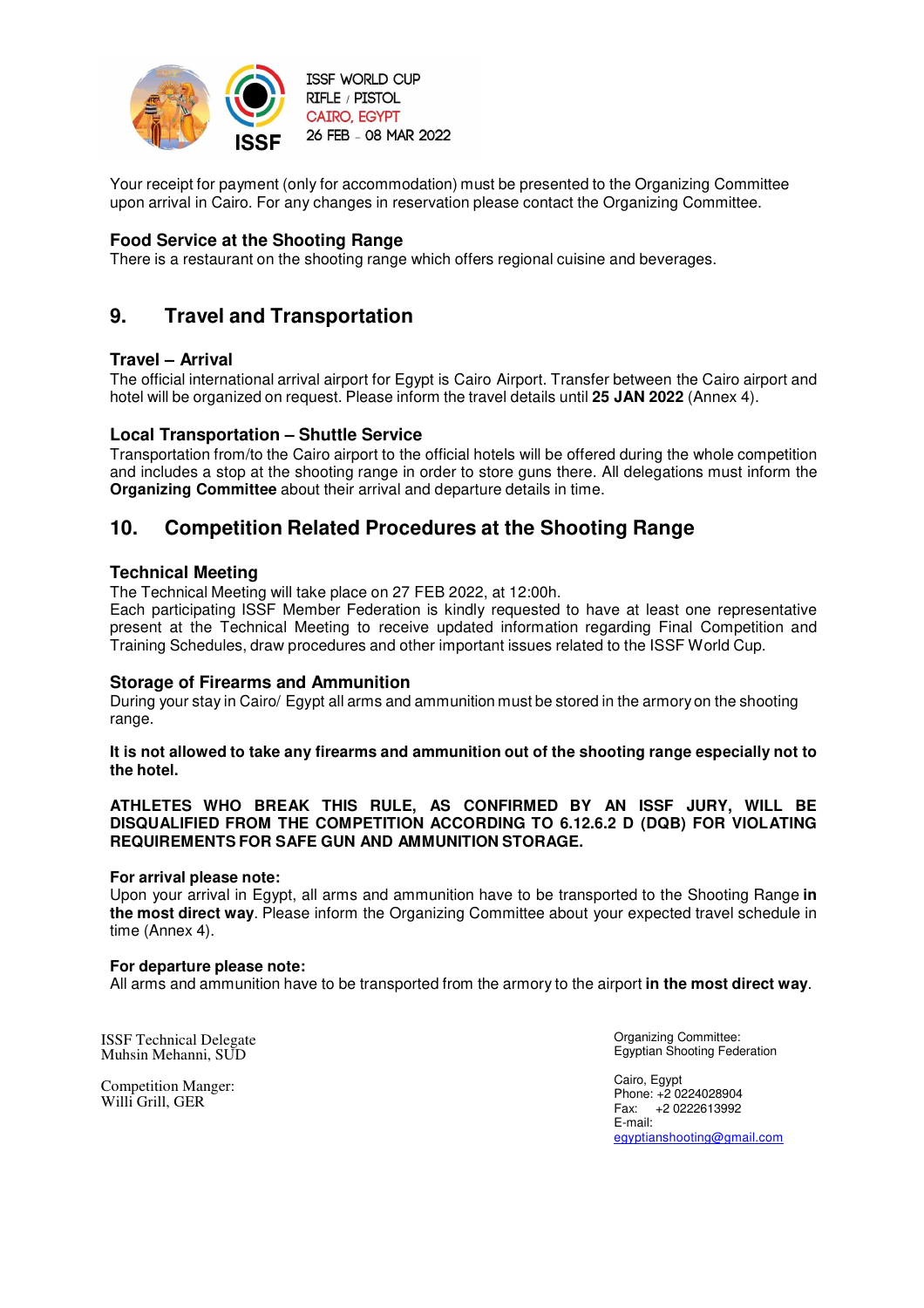

Your receipt for payment (only for accommodation) must be presented to the Organizing Committee upon arrival in Cairo. For any changes in reservation please contact the Organizing Committee.

# **Food Service at the Shooting Range**

There is a restaurant on the shooting range which offers regional cuisine and beverages.

# **9. Travel and Transportation**

### **Travel – Arrival**

The official international arrival airport for Egypt is Cairo Airport. Transfer between the Cairo airport and hotel will be organized on request. Please inform the travel details until **25 JAN 2022** (Annex 4).

### **Local Transportation – Shuttle Service**

Transportation from/to the Cairo airport to the official hotels will be offered during the whole competition and includes a stop at the shooting range in order to store guns there. All delegations must inform the **Organizing Committee** about their arrival and departure details in time.

# **10. Competition Related Procedures at the Shooting Range**

### **Technical Meeting**

The Technical Meeting will take place on 27 FEB 2022, at 12:00h.

Each participating ISSF Member Federation is kindly requested to have at least one representative present at the Technical Meeting to receive updated information regarding Final Competition and Training Schedules, draw procedures and other important issues related to the ISSF World Cup.

### **Storage of Firearms and Ammunition**

During your stay in Cairo/ Egypt all arms and ammunition must be stored in the armory on the shooting range.

#### **It is not allowed to take any firearms and ammunition out of the shooting range especially not to the hotel.**

#### **ATHLETES WHO BREAK THIS RULE, AS CONFIRMED BY AN ISSF JURY, WILL BE DISQUALIFIED FROM THE COMPETITION ACCORDING TO 6.12.6.2 D (DQB) FOR VIOLATING REQUIREMENTS FOR SAFE GUN AND AMMUNITION STORAGE.**

#### **For arrival please note:**

Upon your arrival in Egypt, all arms and ammunition have to be transported to the Shooting Range **in the most direct way**. Please inform the Organizing Committee about your expected travel schedule in time (Annex 4).

### **For departure please note:**

All arms and ammunition have to be transported from the armory to the airport **in the most direct way**.

ISSF Technical Delegate Muhsin Mehanni, SUD

Competition Manger: Willi Grill, GER

Organizing Committee: Egyptian Shooting Federation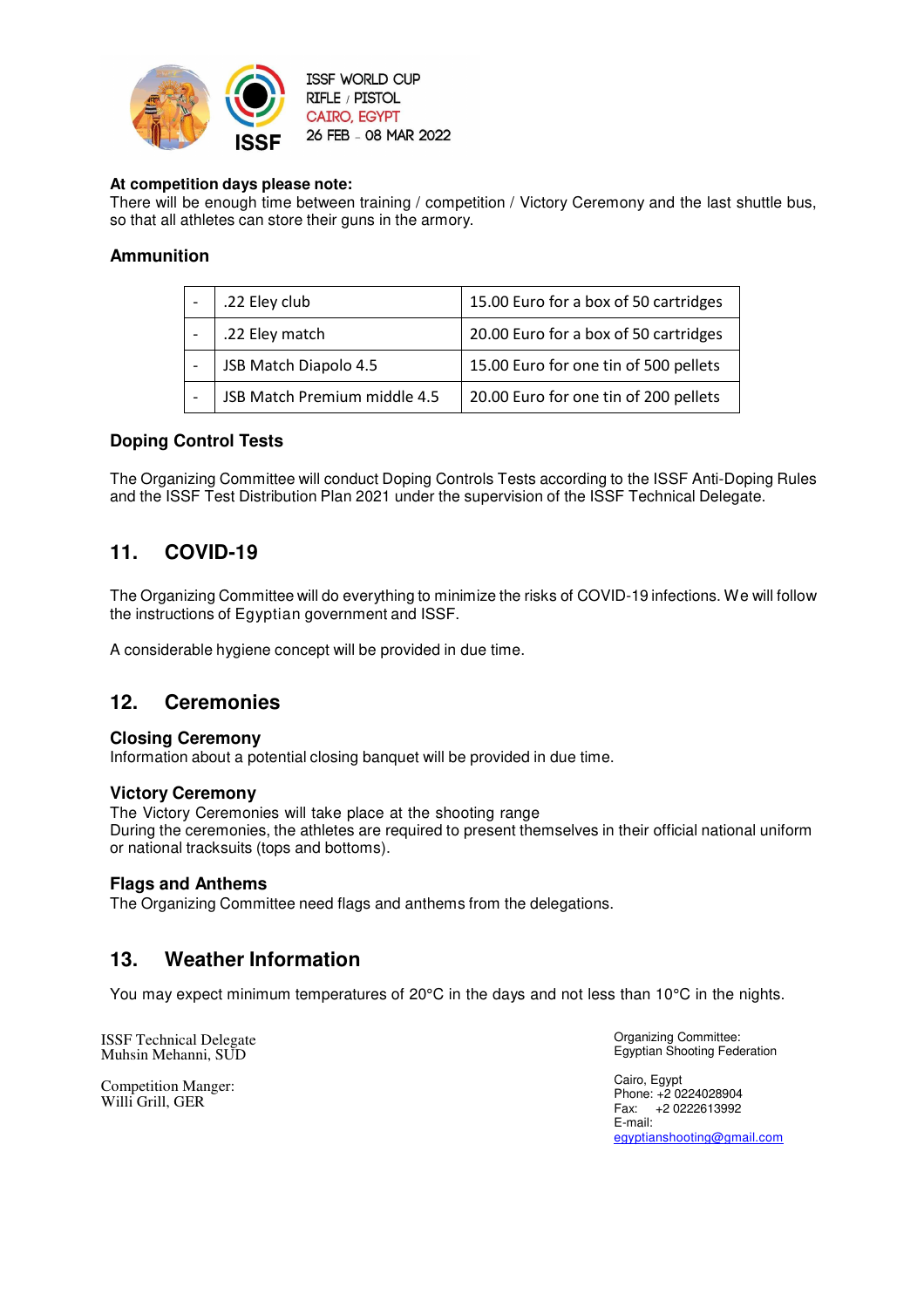

# **At competition days please note:**

There will be enough time between training / competition / Victory Ceremony and the last shuttle bus, so that all athletes can store their guns in the armory.

# **Ammunition**

| .22 Eley club                | 15.00 Euro for a box of 50 cartridges |
|------------------------------|---------------------------------------|
| .22 Eley match               | 20.00 Euro for a box of 50 cartridges |
| JSB Match Diapolo 4.5        | 15.00 Euro for one tin of 500 pellets |
| JSB Match Premium middle 4.5 | 20.00 Euro for one tin of 200 pellets |

# **Doping Control Tests**

The Organizing Committee will conduct Doping Controls Tests according to the ISSF Anti-Doping Rules and the ISSF Test Distribution Plan 2021 under the supervision of the ISSF Technical Delegate.

# **11. COVID-19**

The Organizing Committee will do everything to minimize the risks of COVID-19 infections. We will follow the instructions of Egyptian government and ISSF.

A considerable hygiene concept will be provided in due time.

# **12. Ceremonies**

### **Closing Ceremony**

Information about a potential closing banquet will be provided in due time.

### **Victory Ceremony**

The Victory Ceremonies will take place at the shooting range

During the ceremonies, the athletes are required to present themselves in their official national uniform or national tracksuits (tops and bottoms).

### **Flags and Anthems**

The Organizing Committee need flags and anthems from the delegations.

# **13. Weather Information**

You may expect minimum temperatures of 20°C in the days and not less than 10°C in the nights.

ISSF Technical Delegate Muhsin Mehanni, SUD

Competition Manger: Willi Grill, GER

Organizing Committee: Egyptian Shooting Federation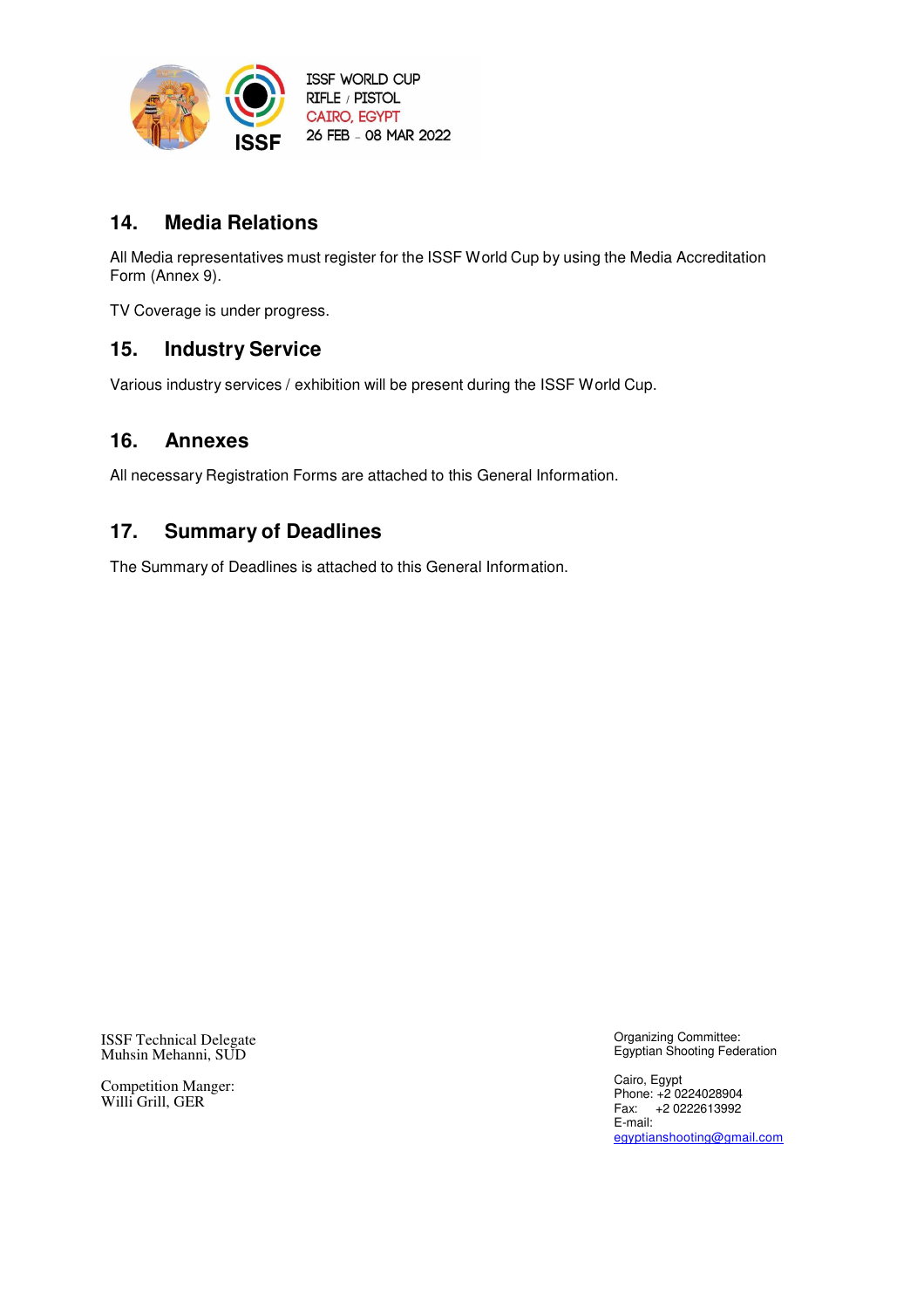

# **14. Media Relations**

All Media representatives must register for the ISSF World Cup by using the Media Accreditation Form (Annex 9).

TV Coverage is under progress.

# **15. Industry Service**

Various industry services / exhibition will be present during the ISSF World Cup.

# **16. Annexes**

All necessary Registration Forms are attached to this General Information.

# **17. Summary of Deadlines**

The Summary of Deadlines is attached to this General Information.

ISSF Technical Delegate Muhsin Mehanni, SUD

Competition Manger: Willi Grill, GER

Organizing Committee: Egyptian Shooting Federation